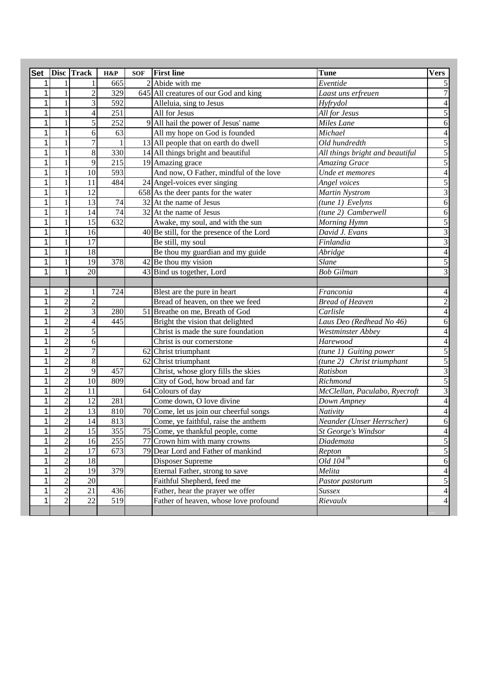| <b>Set</b>   |                | Disc Track     | H&P              | <b>SOF</b> | <b>First line</b>                           | <b>Tune</b>                     | <b>Vers</b>     |
|--------------|----------------|----------------|------------------|------------|---------------------------------------------|---------------------------------|-----------------|
| 1            |                |                | 665              |            | 2 Abide with me                             | Eventide                        |                 |
| 1            |                | $\overline{2}$ | 329              |            | 645 All creatures of our God and king       | Laast uns erfreuen              |                 |
| 1            | 1              | 3              | 592              |            | Alleluia, sing to Jesus                     | Hyfrydol                        |                 |
| 1            |                | 4              | $\overline{251}$ |            | All for Jesus                               | All for Jesus                   |                 |
| 1            |                | 5              | 252              | 9          | All hail the power of Jesus' name           | <b>Miles</b> Lane               | 6               |
| 1            |                | 6              | 63               |            | All my hope on God is founded               | Michael                         |                 |
| 1            |                |                |                  |            | 13 All people that on earth do dwell        | Old hundredth                   | 5               |
| 1            |                | 8              | 330              |            | 14 All things bright and beautiful          | All things bright and beautiful | 5               |
| 1            |                | 9              | 215              |            | 19 Amazing grace                            | <b>Amazing Grace</b>            | 5               |
|              |                | 10             | 593              |            | And now, O Father, mindful of the love      | Unde et memores                 |                 |
|              |                | 11             | 484              |            | 24 Angel-voices ever singing                | Angel voices                    |                 |
|              |                | 12             |                  |            | 658 As the deer pants for the water         | <b>Martin Nystrom</b>           | 3               |
|              |                | 13             | 74               |            | 32 At the name of Jesus                     | (tune 1) Evelyns                | 6               |
|              |                | 14             | 74               |            | $32$ At the name of Jesus                   | (tune 2) Camberwell             | 6               |
|              |                | 15             | 632              |            | Awake, my soul, and with the sun            | Morning Hymn                    | 5               |
| 1            |                | 16             |                  |            | $40$ Be still, for the presence of the Lord | David J. Evans                  |                 |
|              |                | 17             |                  |            | Be still, my soul                           | Finlandia                       |                 |
| 1            | 1              | 18             |                  |            | Be thou my guardian and my guide            | Abridge                         |                 |
| 1            |                | 19             | 378              |            | $42$ Be thou my vision                      | <b>Slane</b>                    |                 |
| 1            |                | 20             |                  |            | 43 Bind us together, Lord                   | <b>Bob Gilman</b>               |                 |
|              |                |                |                  |            |                                             |                                 |                 |
| 1            | $\overline{c}$ |                | 724              |            | Blest are the pure in heart                 | Franconia                       |                 |
| 1            | $\overline{2}$ | $\overline{c}$ |                  |            | Bread of heaven, on thee we feed            | <b>Bread of Heaven</b>          |                 |
| 1            | $\overline{c}$ | 3              | 280              |            | 51 Breathe on me, Breath of God             | Carlisle                        |                 |
|              | $\overline{c}$ |                | 445              |            | Bright the vision that delighted            | Laus Deo (Redhead No 46)        | 6               |
|              | $\overline{c}$ |                |                  |            | Christ is made the sure foundation          | Westminster Abbey               |                 |
| 1            | $\overline{2}$ | 6              |                  |            | Christ is our cornerstone                   | Harewood                        | 4               |
|              | $\overline{2}$ | 7              |                  |            | 62 Christ triumphant                        | (tune 1) Guiting power          | 5               |
|              | $\overline{2}$ | 8              |                  |            | 62 Christ triumphant                        | (tune 2) Christ triumphant      | 5               |
|              | $\overline{c}$ | 9              | 457              |            | Christ, whose glory fills the skies         | Ratisbon                        | $\overline{3}$  |
|              | $\overline{2}$ | 10             | 809              |            | City of God, how broad and far              | Richmond                        | $\mathfrak{S}$  |
|              | $\overline{c}$ | 11             |                  |            | 64 Colours of day                           | McClellan, Paculabo, Ryecroft   | $\overline{3}$  |
|              | $\overline{c}$ | 12             | 281              |            | Come down, O love divine                    | Down Ampney                     | $\overline{4}$  |
|              | $\overline{c}$ | 13             | 810              |            | 70 Come, let us join our cheerful songs     | Nativity                        | $\overline{4}$  |
| 1            | $\overline{c}$ | 14             | 813              |            | Come, ye faithful, raise the anthem         | Neander (Unser Herrscher)       | 6               |
| $\mathbf{1}$ | $\overline{2}$ | 15             | 355              |            | 75 Come, ye thankful people, come           | St George's Windsor             | $\vert 4 \vert$ |
| 1            | $\overline{c}$ | 16             | 255              |            | 77 Crown him with many crowns               | Diademata                       | $\overline{5}$  |
| 1            | $\overline{2}$ | 17             | 673              |            | 79 Dear Lord and Father of mankind          | Repton                          | $\sqrt{5}$      |
| 1            | $\overline{2}$ | 18             |                  |            | Disposer Supreme                            | Old $104^{th}$                  | 6               |
| 1            | $\overline{c}$ | 19             | $\overline{379}$ |            | Eternal Father, strong to save              | Melita                          | $\overline{4}$  |
| 1            | $\overline{c}$ | 20             |                  |            | Faithful Shepherd, feed me                  | Pastor pastorum                 | $\sqrt{5}$      |
| 1            | $\overline{c}$ | 21             | 436              |            | Father, hear the prayer we offer            | Sussex                          | $\overline{4}$  |
|              | $\mathbf{2}$   | 22             | $\overline{519}$ |            | Father of heaven, whose love profound       | Rievaulx                        | $\overline{4}$  |
|              |                |                |                  |            |                                             |                                 |                 |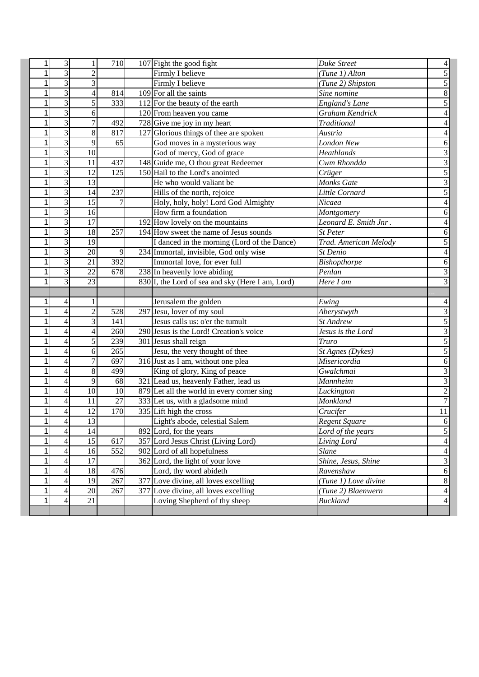| 1            | 3                        |                          | 710              | 107 Fight the good fight                         | Duke Street           | 4                |
|--------------|--------------------------|--------------------------|------------------|--------------------------------------------------|-----------------------|------------------|
| 1            | $\overline{\mathbf{3}}$  | $\overline{c}$           |                  | Firmly I believe                                 | (Tune 1) Alton        |                  |
| 1            | $\overline{3}$           | $\overline{3}$           |                  | Firmly I believe                                 | (Tune 2) Shipston     | 5                |
| 1            | $\overline{3}$           | $\overline{4}$           | 814              | 109 For all the saints                           | Sine nomine           | 8                |
| 1            | $\overline{3}$           | 5                        | 333              | 112 For the beauty of the earth                  | <b>England's Lane</b> | 5                |
| 1            | $\overline{3}$           | 6                        |                  | 120 From heaven you came                         | Graham Kendrick       | 4                |
| 1            | $\overline{3}$           | $\overline{7}$           | 492              | 728 Give me joy in my heart                      | Traditional           | 4                |
| 1            | $\overline{3}$           | 8                        | 817              | 127 Glorious things of thee are spoken           | Austria               | 4                |
| 1            | $\overline{3}$           | 9                        | 65               | God moves in a mysterious way                    | <b>London New</b>     | 6                |
| 1            | $\overline{3}$           | 10                       |                  | God of mercy, God of grace                       | Heathlands            | 3                |
| 1            | $\overline{\mathbf{3}}$  | 11                       | 437              | 148 Guide me, O thou great Redeemer              | Cwm Rhondda           | 3                |
| 1            | $\overline{\mathbf{3}}$  | 12                       | 125              | 150 Hail to the Lord's anointed                  | Crüger                | $\overline{5}$   |
| 1            | $\overline{3}$           | 13                       |                  | He who would valiant be                          | Monks Gate            | 3                |
| 1            | 3                        | 14                       | 237              | Hills of the north, rejoice                      | Little Cornard        | 5                |
| 1            | 3                        | 15                       |                  | Holy, holy, holy! Lord God Almighty              | Nicaea                |                  |
| 1            | $\overline{\mathbf{3}}$  | 16                       |                  | How firm a foundation                            | Montgomery            | 6                |
| 1            | 3                        | 17                       |                  | 192 How lovely on the mountains                  | Leonard E. Smith Jnr. |                  |
| 1            | 3                        | 18                       | 257              | 194 How sweet the name of Jesus sounds           | St Peter              | 6                |
| 1            | 3                        | 19                       |                  | I danced in the morning (Lord of the Dance)      | Trad. American Melody | 5                |
| 1            | 3                        | 20                       | 9                | 234 Immortal, invisible, God only wise           | St Denio              | 4                |
| 1            | 3                        | $\overline{21}$          | 392              | Immortal love, for ever full                     | Bishopthorpe          | 6                |
| 1            | 3                        | 22                       | 678              | 238 In heavenly love abiding                     | Penlan                | 3                |
| 1            | $\overline{3}$           | 23                       |                  | 830 I, the Lord of sea and sky (Here I am, Lord) | Here I am             | 3                |
|              |                          |                          |                  |                                                  |                       |                  |
|              |                          |                          |                  |                                                  |                       |                  |
| 1            | 4                        | 1                        |                  | Jerusalem the golden                             |                       | 4                |
| 1            | 4                        | $\overline{2}$           | 528              | 297 Jesu, lover of my soul                       | Ewing<br>Aberystwyth  | 3                |
| 1            | 4                        | 3                        | 141              | Jesus calls us: o'er the tumult                  | St Andrew             | 5                |
| 1            | 4                        | $\overline{\mathcal{L}}$ | 260              | 290 Jesus is the Lord! Creation's voice          | Jesus is the Lord     | $\overline{3}$   |
| 1            | $\overline{4}$           | 5                        | 239              | 301 Jesus shall reign                            | <b>Truro</b>          | 5                |
| 1            | 4                        | 6                        | 265              | Jesu, the very thought of thee                   | St Agnes (Dykes)      | 5                |
| 1            | 4                        | $\overline{7}$           | 697              | 316 Just as I am, without one plea               | Misericordia          | 6                |
| 1            | 4                        | 8                        | 499              | King of glory, King of peace                     | Gwalchmai             | 3                |
| 1            | 4                        | 9                        | 68               | 321 Lead us, heavenly Father, lead us            | Mannheim              | 3                |
| 1            | $\overline{\mathcal{L}}$ | 10                       | 10               | 879 Let all the world in every corner sing       | Luckington            | $\overline{2}$   |
| 1            | 4                        | 11                       | 27               | 333 Let us, with a gladsome mind                 | Monkland              | $\overline{7}$   |
| 1            | 4                        | 12                       | 170              | $335$ Lift high the cross                        | Crucifer              | $\overline{11}$  |
| <u> 1  </u>  | 4                        | 13                       |                  | Light's abode, celestial Salem                   | Regent Square         |                  |
| $\mathbf{1}$ | 4                        | $\overline{14}$          |                  | 892 Lord, for the years                          | Lord of the years     | $\frac{6}{5}$    |
| $\mathbf{1}$ | 4                        | 15                       | 617              | 357 Lord Jesus Christ (Living Lord)              | Living Lord           | $\overline{4}$   |
| $\mathbf{1}$ | 4                        | 16                       | $\overline{552}$ | 902 Lord of all hopefulness                      | $\overline{Slane}$    | $\overline{4}$   |
| $\mathbf{1}$ | 4                        | 17                       |                  | 362 Lord, the light of your love                 | Shine, Jesus, Shine   | $\overline{3}$   |
| $\mathbf{1}$ | 4                        | 18                       | 476              | Lord, thy word abideth                           | Ravenshaw             | $6 \overline{6}$ |
| 1            | 4                        | 19                       | 267              | 377 Love divine, all loves excelling             | (Tune 1) Love divine  | $\bf 8$          |
| $\mathbf{1}$ | 4                        | 20                       | 267              | 377 Love divine, all loves excelling             | (Tune 2) Blaenwern    | $\overline{4}$   |
| $\mathbf{1}$ | 4                        | 21                       |                  | Loving Shepherd of thy sheep                     | <b>Buckland</b>       | $\overline{4}$   |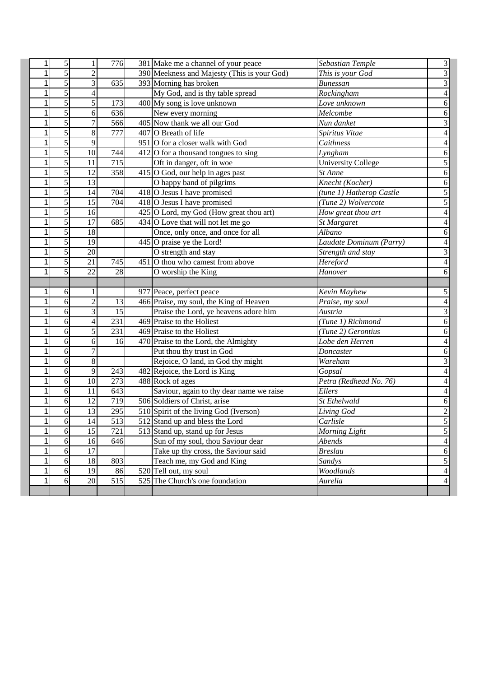| $\mathbf{1}$ | 5              |                          | 776              | 381 Make me a channel of your peace                                       | Sebastian Temple          | 3                                |
|--------------|----------------|--------------------------|------------------|---------------------------------------------------------------------------|---------------------------|----------------------------------|
| 1            | $\overline{5}$ | $\overline{c}$           |                  | 390 Meekness and Majesty (This is your God)                               | This is your God          | $\overline{3}$                   |
| 1            | $\overline{5}$ | 3                        | 635              | 393 Morning has broken                                                    | <b>Bunessan</b>           | 3                                |
| 1            | $\overline{5}$ | $\overline{4}$           |                  | My God, and is thy table spread                                           | Rockingham                | 4                                |
| 1            | 5              | 5                        | 173              | 400 My song is love unknown                                               | Love unknown              | 6                                |
| 1            | 5              | 6                        | 636              | New every morning                                                         | Melcombe                  | 6                                |
| 1            | 5              | 7                        | 566              | 405 Now thank we all our God                                              | Nun danket                | 3                                |
| 1            | $\overline{5}$ | $\overline{8}$           | 777              | 407 O Breath of life                                                      | Spiritus Vitae            | 4                                |
| 1            | 5              | 9                        |                  | 951 O for a closer walk with God                                          | Caithness                 | 4                                |
| 1            | 5              | 10                       | 744              | $412$ O for a thousand tongues to sing                                    | Lyngham                   | 6                                |
| 1            | 5              | 11                       | 715              | Oft in danger, oft in woe                                                 | <b>University College</b> | 5                                |
| 1            | $\overline{5}$ | 12                       | 358              | 415 O God, our help in ages past                                          | St Anne                   | $\mathbf{6}$                     |
| 1            | $\overline{5}$ | $\overline{13}$          |                  | O happy band of pilgrims                                                  | Knecht (Kocher)           | $\mathbf{6}$                     |
| 1            | $\overline{5}$ | 14                       | 704              | 418 O Jesus I have promised                                               | (tune 1) Hatherop Castle  | 5                                |
| 1            | 5              | 15                       | 704              | 418 O Jesus I have promised                                               | (Tune 2) Wolvercote       | 5                                |
| 1            | $\overline{5}$ | 16                       |                  | 425 O Lord, my God (How great thou art)                                   | How great thou art        | 4                                |
| 1            | $\overline{5}$ | 17                       | 685              | $434$ O Love that will not let me go                                      | St Margaret               |                                  |
| 1            | 5              | 18                       |                  | Once, only once, and once for all                                         | Albano                    | 6                                |
| 1            | 5              | 19                       |                  | $445$ O praise ye the Lord!                                               | Laudate Dominum (Parry)   |                                  |
| 1            | $\overline{5}$ | 20                       |                  | $\overline{O}$ strength and stay                                          | Strength and stay         | 3                                |
| 1            | $\overline{5}$ | $\overline{21}$          | 745              | 451 O thou who camest from above                                          | Hereford                  | 4                                |
| 1            | 5              | 22                       | 28               | O worship the King                                                        | Hanover                   | 6                                |
|              |                |                          |                  |                                                                           |                           |                                  |
| 1            | 6              | 1                        |                  | 977 Peace, perfect peace                                                  | Kevin Mayhew              | 5                                |
| 1            | 6              | $\overline{2}$           | 13               | 466 Praise, my soul, the King of Heaven                                   | Praise, my soul           | $\overline{4}$                   |
|              | 6              | 3                        | 15               | Praise the Lord, ye heavens adore him                                     | Austria                   | 3                                |
| 1            |                |                          |                  |                                                                           | (Tune 1) Richmond         |                                  |
| 1            | 6              | $\overline{\mathcal{L}}$ | 231              | 469 Praise to the Holiest                                                 |                           | 6                                |
| 1            | 6              | 5                        | 231              | 469 Praise to the Holiest                                                 | (Tune 2) Gerontius        | 6                                |
| 1            | 6              | 6                        | 16               | 470 Praise to the Lord, the Almighty                                      | Lobe den Herren           | $\overline{4}$                   |
| 1            | 6              | $\overline{7}$           |                  | Put thou thy trust in God                                                 | Doncaster                 | 6                                |
| 1            | 6              | 8                        |                  | Rejoice, O land, in God thy might                                         | Wareham                   | 3                                |
| 1            | 6              | 9                        | 243              | 482 Rejoice, the Lord is King                                             | Gopsal                    | 4                                |
| 1            | 6              | 10                       | $\overline{273}$ | 488 Rock of ages                                                          | Petra (Redhead No. 76)    | $\overline{4}$                   |
| 1            | 6              | 11                       | 643              |                                                                           | Ellers                    | 4                                |
| 1            | 6              | 12                       | 719              | Saviour, again to thy dear name we raise<br>506 Soldiers of Christ, arise | St Ethelwald              | 6                                |
| 1            | 6              | 13                       | 295              | 510 Spirit of the living God (Iverson)                                    | Living God                | $\overline{c}$                   |
| 1            | 6              | 14                       | 513              | 512 Stand up and bless the Lord                                           | Carlisle                  | $\mathcal{L}$                    |
| $\mathbf{1}$ | 6              | $\overline{15}$          | $\overline{721}$ | 513 Stand up, stand up for Jesus                                          | Morning Light             | $\overline{5}$                   |
| $\mathbf{1}$ | 6              | 16                       | 646              | Sun of my soul, thou Saviour dear                                         | Abends                    | $\overline{4}$                   |
| $\mathbf{1}$ | 6              | 17                       |                  | Take up thy cross, the Saviour said                                       | <b>Breslau</b>            | $6 \overline{6}$                 |
| $\mathbf{1}$ | 6              | 18                       | 803              | Teach me, my God and King                                                 | <b>Sandys</b>             |                                  |
| $\mathbf{1}$ | 6              | 19                       | 86               | 520 Tell out, my soul                                                     | Woodlands                 | $\overline{5}$<br>$\overline{4}$ |
| $\mathbf{1}$ | 6              | 20                       | 515              | 525 The Church's one foundation                                           | Aurelia                   | $\overline{4}$                   |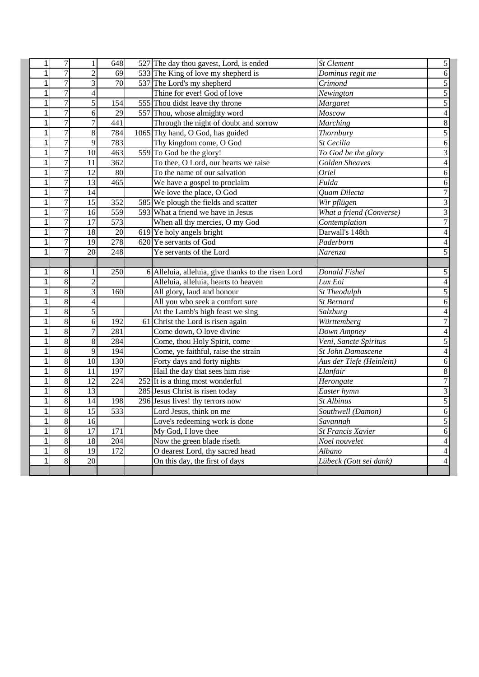| $\mathbf{1}$   | $\boldsymbol{7}$ | 1               | 648              | 527 The day thou gavest, Lord, is ended             | St Clement               | $\mathfrak{S}$           |
|----------------|------------------|-----------------|------------------|-----------------------------------------------------|--------------------------|--------------------------|
| $\mathbf 1$    | $\overline{7}$   | $\overline{2}$  | 69               | 533 The King of love my shepherd is                 | Dominus regit me         | $\boldsymbol{6}$         |
| 1              | $\overline{7}$   | 3               | 70               | 537 The Lord's my shepherd                          | Crimond                  | $\overline{5}$           |
| 1              | $\overline{7}$   | 4               |                  | Thine for ever! God of love                         | Newington                | $\overline{5}$           |
| $\overline{1}$ | 7                | $\overline{5}$  | 154              | 555 Thou didst leave thy throne                     | Margaret                 | $\overline{5}$           |
| $\overline{1}$ | 7                | 6               | 29               | 557 Thou, whose almighty word                       | Moscow                   | $\overline{4}$           |
| $\mathbf{1}$   | 7                | $\overline{7}$  | 441              | Through the night of doubt and sorrow               | <b>Marching</b>          | $\boldsymbol{8}$         |
| $\mathbf{1}$   | 7                | $\overline{8}$  | 784              | 1065 Thy hand, O God, has guided                    | Thornbury                | 5                        |
| 1              | $\overline{7}$   | 9               | 783              | Thy kingdom come, O God                             | St Cecilia               | $\overline{6}$           |
| $\overline{1}$ | $\overline{7}$   | $\overline{10}$ | 463              | 559 To God be the glory!                            | To God be the glory      | $\overline{3}$           |
| 1              | $\overline{7}$   | 11              | 362              | To thee, O Lord, our hearts we raise                | <b>Golden Sheaves</b>    | $\overline{\mathcal{L}}$ |
| 1              | 7                | $\overline{12}$ | 80               | To the name of our salvation                        | $\overline{O}$ riel      | $\boldsymbol{6}$         |
| $\mathbf 1$    | 7                | 13              | $\overline{465}$ | We have a gospel to proclaim                        | Fulda                    | $\boldsymbol{6}$         |
| $\mathbf 1$    | $\overline{7}$   | $\overline{14}$ |                  | We love the place, O God                            | <b>Ouam Dilecta</b>      | $\overline{7}$           |
| $\overline{1}$ | $\overline{7}$   | $\overline{15}$ | 352              | 585 We plough the fields and scatter                | Wir pflügen              | $\overline{3}$           |
| $\mathbf 1$    | $\overline{7}$   | 16              | 559              | 593 What a friend we have in Jesus                  | What a friend (Converse) | $\overline{3}$           |
| $\mathbf 1$    | 7                | $\overline{17}$ | 573              | When all thy mercies, O my God                      | Contemplation            | $\overline{7}$           |
| 1              | $\overline{7}$   | 18              | 20               | 619 Ye holy angels bright                           | Darwall's 148th          | $\overline{\mathbf{4}}$  |
| $\overline{1}$ | $\overline{7}$   | $\overline{19}$ | $\overline{278}$ | 620 Ye servants of God                              | Paderborn                | $\overline{4}$           |
| 1              | $\overline{7}$   | $\overline{20}$ | 248              | Ye servants of the Lord                             | Narenza                  | 5                        |
|                |                  |                 |                  |                                                     |                          |                          |
| 1              | 8                |                 | 250              | 6 Alleluia, alleluia, give thanks to the risen Lord | Donald Fishel            | 5                        |
|                |                  |                 |                  |                                                     |                          |                          |
| $\mathbf 1$    | $\sqrt{8}$       | $\overline{2}$  |                  | Alleluia, alleluia, hearts to heaven                | Lux Eoi                  | $\overline{4}$           |
| $\overline{1}$ | $\overline{8}$   | 3               | 160              | All glory, laud and honour                          | St Theodulph             | $\overline{5}$           |
| 1              | $\overline{8}$   | 4               |                  | All you who seek a comfort sure                     | St Bernard               | $\boldsymbol{6}$         |
| $\mathbf 1$    | $\overline{8}$   | $\overline{5}$  |                  | At the Lamb's high feast we sing                    | Salzburg                 | $\overline{\mathbf{r}}$  |
| $\mathbf 1$    | $\overline{8}$   | 6               | 192              | 61 Christ the Lord is risen again                   | Württemberg              | $\overline{7}$           |
| 1              | $\overline{8}$   | $\overline{7}$  | 281              | Come down, O love divine                            | Down Ampney              | $\overline{4}$           |
| $\mathbf{1}$   | $\overline{8}$   | $\overline{8}$  | 284              | Come, thou Holy Spirit, come                        | Veni, Sancte Spiritus    | $\overline{5}$           |
| 1              | $\overline{8}$   | 9               | 194              | Come, ye faithful, raise the strain                 | St John Damascene        | $\overline{4}$           |
| 1              | $\overline{8}$   | $\overline{10}$ | 130              | Forty days and forty nights                         | Aus der Tiefe (Heinlein) | $\overline{6}$           |
| $\mathbf{1}$   | $\overline{8}$   | 11              | 197              | Hail the day that sees him rise                     | Llanfair                 | $\overline{8}$           |
| $\mathbf 1$    | $\overline{8}$   | $\overline{12}$ | 224              | 252 It is a thing most wonderful                    | Herongate                | $\overline{7}$           |
| $\overline{1}$ | $\overline{8}$   | $\overline{13}$ |                  | 285 Jesus Christ is risen today                     | Easter hymn              | $\overline{3}$           |
| $\mathbf 1$    | $\overline{8}$   | $\overline{14}$ | 198              | 296 Jesus lives! thy terrors now                    | St Albinus               | $\overline{5}$           |
| 1              | $\overline{8}$   | $\overline{15}$ | 533              | Lord Jesus, think on me                             | Southwell (Damon)        | $\overline{6}$           |
| 1              | $\overline{8}$   | $\overline{16}$ |                  | Love's redeeming work is done                       | Savannah                 | $\overline{5}$           |
| $\overline{1}$ | $\overline{8}$   | 17              | 171              | My God, I love thee                                 | <b>St Francis Xavier</b> | $\overline{6}$           |
| 1              | $\overline{8}$   | $\overline{18}$ | $\overline{204}$ | Now the green blade riseth                          | Noel nouvelet            | 4                        |
| 1              | $\overline{8}$   | 19              | 172              | O dearest Lord, thy sacred head                     | Albano                   | $\overline{4}$           |
| 1              | $\overline{8}$   | $\overline{20}$ |                  | On this day, the first of days                      | Lübeck (Gott sei dank)   | $\overline{4}$           |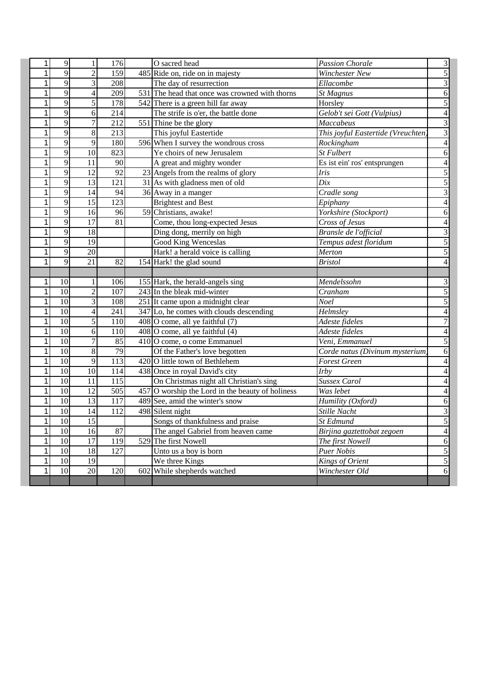| $\mathbf{1}$ | 9               | 1                        | 176               | O sacred head                                      | <b>Passion Chorale</b>             | 3                                  |
|--------------|-----------------|--------------------------|-------------------|----------------------------------------------------|------------------------------------|------------------------------------|
| 1            | $\overline{9}$  | $\overline{c}$           | 159               | 485 Ride on, ride on in majesty                    | <b>Winchester New</b>              | $\overline{5}$                     |
| 1            | 9               | 3                        | 208               | The day of resurrection                            | Ellacombe                          | 3                                  |
| 1            | $\overline{9}$  | $\overline{\mathcal{L}}$ | 209               | 531 The head that once was crowned with thorns     | <b>St Magnus</b>                   | $\boldsymbol{6}$                   |
| 1            | $\overline{9}$  | 5                        | 178               | 542 There is a green hill far away                 | Horsley                            | $\overline{5}$                     |
| 1            | 9               | 6                        | 214               | The strife is o'er, the battle done                | Gelob't sei Gott (Vulpius)         | $\overline{4}$                     |
| 1            | $\overline{9}$  | 7                        | 212               | 551 Thine be the glory                             | Maccabeus                          | $\overline{3}$                     |
| 1            | $\overline{9}$  | $\overline{8}$           | $\overline{213}$  | This joyful Eastertide                             | This joyful Eastertide (Vreuchten) | $\overline{3}$                     |
| 1            | 9               | 9                        | 180               | 596 When I survey the wondrous cross               | Rockingham                         | $\overline{4}$                     |
| 1            | 9               | 10                       | 823               | Ye choirs of new Jerusalem                         | <b>St Fulbert</b>                  | $\boldsymbol{6}$                   |
| 1            | 9               | 11                       | 90                | A great and mighty wonder                          | Es ist ein' ros' entsprungen       | $\overline{4}$                     |
| 1            | 9               | 12                       | 92                | 23 Angels from the realms of glory                 | Iris                               | $\overline{5}$                     |
| 1            | $\overline{9}$  | $\overline{13}$          | 121               | 31 As with gladness men of old                     | Dix                                | 5                                  |
| 1            | 9               | 14                       | 94                | 36 Away in a manger                                | Cradle song                        | $\overline{3}$                     |
| 1            | 9               | 15                       | 123               | <b>Brightest and Best</b>                          | Epiphany                           | 4                                  |
| 1            | 9               | 16                       | 96                | 59 Christians, awake!                              | Yorkshire (Stockport)              | 6                                  |
| 1            | 9               | $\overline{17}$          | 81                | Come, thou long-expected Jesus                     | Cross of Jesus                     |                                    |
| 1            | 9               | 18                       |                   | Ding dong, merrily on high                         | Bransle de l'official              | 3                                  |
| 1            | 9               | 19                       |                   | Good King Wenceslas                                | Tempus adest floridum              | 5                                  |
| 1            | 9               | $20\,$                   |                   | Hark! a herald voice is calling                    | Merton                             | 5                                  |
| 1            | 9               | $\overline{21}$          | 82                | 154 Hark! the glad sound                           | <b>Bristol</b>                     | 4                                  |
|              |                 |                          |                   |                                                    |                                    |                                    |
| 1            | 10              | 1                        | 106               | 155 Hark, the herald-angels sing                   | Mendelssohn                        | 3                                  |
| 1            | 10              | $\overline{2}$           | 107               | 243 In the bleak mid-winter                        | Cranham                            | 5                                  |
| 1            | 10              | 3                        | 108               | 251 It came upon a midnight clear                  | <b>Noel</b>                        | 5                                  |
| $\mathbf{1}$ | 10              | $\overline{\mathbf{4}}$  | 241               | 347 Lo, he comes with clouds descending            | Helmsley                           | 4                                  |
| 1            | 10              | 5                        | 110               | $408$ O come, all ye faithful $(7)$                | Adeste fideles                     | $\overline{7}$                     |
| 1            | 10              | 6                        | 110               | $408$ O come, all ye faithful (4)                  | Adeste fideles                     | 4                                  |
| $\mathbf{1}$ | $\overline{10}$ | $\overline{7}$           | 85                | 410 O come, o come Emmanuel                        | Veni, Emmanuel                     | $\overline{5}$                     |
| $\mathbf{1}$ | 10              | $\overline{8}$           | 79                | Of the Father's love begotten                      | Corde natus (Divinum mysterium     | $\mathbf{6}$                       |
| $\mathbf{1}$ | 10              | 9                        | 113               | 420 O little town of Bethlehem                     | <b>Forest Green</b>                | 4                                  |
| $\mathbf{1}$ | 10              | 10                       | 114               | 438 Once in royal David's city                     | Irby                               | 4                                  |
| $\mathbf{1}$ | $\overline{10}$ | $\overline{11}$          | $\frac{115}{115}$ | On Christmas night all Christian's sing            | Sussex Carol                       |                                    |
| $\mathbf{1}$ | 10              | 12                       | 505               | $457$ O worship the Lord in the beauty of holiness | Was lebet                          | 4                                  |
| 1            | 10              | 13                       | 117               | 489 See, amid the winter's snow                    | Humility (Oxford)                  | 6                                  |
| 1            | $\overline{10}$ | 14                       | 112               | 498 Silent night                                   | Stille Nacht                       | 3                                  |
| 1            |                 |                          |                   | Songs of thankfulness and praise                   | St Edmund                          |                                    |
|              | 10              | 15                       |                   |                                                    |                                    |                                    |
| $\mathbf{1}$ | $\overline{10}$ | 16                       | $\overline{87}$   | The angel Gabriel from heaven came                 | Birjina gaztettobat zegoen         | ЭI<br>$\overline{4}$               |
| $\mathbf{1}$ | 10              | $\overline{17}$          | 119               | 529 The first Nowell                               | The first Nowell                   |                                    |
| $\mathbf{1}$ | 10              | 18                       | 127               | Unto us a boy is born                              | Puer Nobis                         | $\overline{5}$                     |
| $\mathbf{1}$ | 10              | 19                       |                   | We three Kings                                     | Kings of Orient                    | $6 \overline{6}$<br>$\overline{5}$ |
| $\mathbf{1}$ | 10              | 20                       | 120               | 602 While shepherds watched                        | Winchester Old                     | $\overline{6}$                     |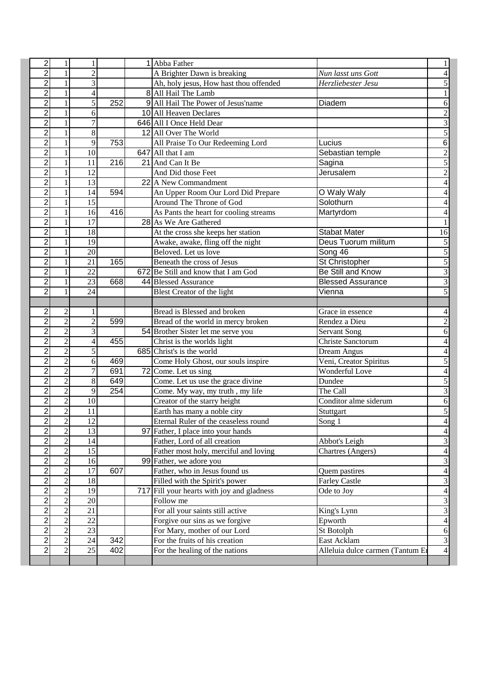| $\overline{c}$ | 1              | 1               |                  | 1 Abba Father                              |                                  |                         |
|----------------|----------------|-----------------|------------------|--------------------------------------------|----------------------------------|-------------------------|
| $\overline{2}$ | 1              | $\overline{c}$  |                  | A Brighter Dawn is breaking                | Nun lasst uns Gott               |                         |
| $\overline{2}$ |                | 3               |                  | Ah, holy jesus, How hast thou offended     | Herzliebester Jesu               | 5                       |
| $\overline{2}$ |                | 4               |                  | 8 All Hail The Lamb                        |                                  |                         |
| $\overline{2}$ | 1              | 5               | 252              | 9 All Hail The Power of Jesus'name         | Diadem                           | 6                       |
| $\overline{2}$ | 1              | 6               |                  | 10 All Heaven Declares                     |                                  | $\overline{c}$          |
| $\overline{2}$ | 1              | $\tau$          |                  | 646 All I Once Held Dear                   |                                  | $\overline{3}$          |
| $\overline{2}$ | 1              | 8               |                  | 12 All Over The World                      |                                  | $\overline{5}$          |
| $\overline{c}$ | 1              | 9               | 753              | All Praise To Our Redeeming Lord           | Lucius                           | $\overline{6}$          |
| 2              | 1              | 10              |                  | 647 All that I am                          | Sebastian temple                 | $\overline{2}$          |
| $\overline{c}$ | 1              | 11              | 216              | 21 And Can It Be                           | Sagina                           | $\overline{5}$          |
| $\overline{2}$ | 1              | 12              |                  | And Did those Feet                         | Jerusalem                        | $\overline{2}$          |
| $\overline{2}$ | 1              | 13              |                  | 22 A New Commandment                       |                                  | $\overline{4}$          |
| $\overline{2}$ | 1              | 14              | 594              | An Upper Room Our Lord Did Prepare         | O Waly Waly                      | 4                       |
| $\overline{c}$ | 1              | 15              |                  | Around The Throne of God                   | Solothurn                        | 4                       |
| $\overline{2}$ |                | 16              | 416              | As Pants the heart for cooling streams     | Martyrdom                        |                         |
| $\overline{2}$ |                | 17              |                  | 28 As We Are Gathered                      |                                  |                         |
| $\overline{2}$ |                | 18              |                  | At the cross she keeps her station         | <b>Stabat Mater</b>              | 16                      |
| $\overline{2}$ |                | 19              |                  | Awake, awake, fling off the night          | Deus Tuorum militum              | 5                       |
| $\overline{2}$ |                | 20              |                  | Beloved. Let us love                       | Song 46                          | $\overline{5}$          |
| $\overline{2}$ |                | $\overline{21}$ | 165              | Beneath the cross of Jesus                 | St Christopher                   | 5                       |
| $\overline{2}$ |                | 22              |                  | 672 Be Still and know that I am God        | Be Still and Know                | $\overline{\mathbf{3}}$ |
| $\overline{c}$ |                | 23              | 668              | 44 Blessed Assurance                       | <b>Blessed Assurance</b>         | $\overline{\mathbf{3}}$ |
| $\overline{2}$ |                | 24              |                  | Blest Creator of the light                 | Vienna                           | 5                       |
|                |                |                 |                  |                                            |                                  |                         |
| $\overline{2}$ | $\overline{c}$ | 1               |                  | Bread is Blessed and broken                | Grace in essence                 | 4                       |
| 2              | $\overline{c}$ | $\overline{2}$  | 599              | Bread of the world in mercy broken         | Rendez a Dieu                    | $\overline{c}$          |
| $\overline{2}$ | $\overline{2}$ | 3               |                  | 54 Brother Sister let me serve you         | <b>Servant Song</b>              | 6                       |
| $\overline{2}$ | $\overline{2}$ | 4               | 455              | Christ is the worlds light                 | Christe Sanctorum                | $\overline{4}$          |
| $\overline{2}$ | $\overline{2}$ | 5               |                  | 685 Christ's is the world                  | <b>Dream Angus</b>               | $\overline{4}$          |
| 2              | $\overline{2}$ | 6               | 469              | Come Holy Ghost, our souls inspire         | Veni, Creator Spiritus           | 5                       |
| $\overline{2}$ | $\overline{2}$ | $\overline{7}$  | 691              | 72 Come. Let us sing                       | Wonderful Love                   | $\overline{4}$          |
| $\overline{2}$ | $\overline{c}$ | 8               | 649              | Come. Let us use the grace divine          | Dundee                           | 5                       |
| $\overline{2}$ | $\overline{c}$ | 9               | $\overline{254}$ | Come. My way, my truth, my life            | The Call                         | $\overline{\mathbf{3}}$ |
| $\overline{2}$ | $\overline{c}$ | 10              |                  | Creator of the starry height               | Conditor alme siderum            | $\boldsymbol{6}$        |
| $\overline{2}$ | $\overline{2}$ | $\overline{11}$ |                  | Earth has many a noble city                | Stuttgart                        | $\overline{5}$          |
| $\mathbf{2}$   | 2              | 12              |                  | Eternal Ruler of the ceaseless round       | Song 1                           | 4                       |
| $\overline{2}$ | $\overline{2}$ | $\overline{13}$ |                  | 97 Father, I place into your hands         |                                  | $\overline{4}$          |
| 2              | $\overline{c}$ | 14              |                  | Father, Lord of all creation               | Abbot's Leigh                    | $\overline{\mathbf{3}}$ |
| $\overline{2}$ | $\overline{2}$ | $\overline{15}$ |                  | Father most holy, merciful and loving      | Chartres (Angers)                | $\overline{4}$          |
| $\overline{2}$ | $\overline{c}$ | 16              |                  | 99 Father, we adore you                    |                                  | $\overline{\mathbf{3}}$ |
| $\overline{2}$ | $\overline{c}$ | 17              | 607              | Father, who in Jesus found us              | Quem pastires                    | $\overline{4}$          |
| 2              | $\overline{2}$ | 18              |                  | Filled with the Spirit's power             | <b>Farley Castle</b>             | $\overline{\mathbf{3}}$ |
| $\overline{2}$ | $\overline{c}$ | 19              |                  | 717 Fill your hearts with joy and gladness | Ode to Joy                       | $\overline{4}$          |
| $\overline{2}$ | $\overline{2}$ | 20              |                  | Follow me                                  |                                  | $\overline{3}$          |
| $\overline{2}$ | $\overline{2}$ | 21              |                  | For all your saints still active           | King's Lynn                      | $\overline{3}$          |
| $\overline{2}$ | $\overline{2}$ | 22              |                  | Forgive our sins as we forgive             | Epworth                          | $\overline{4}$          |
| $\overline{2}$ | $\overline{c}$ | 23              |                  | For Mary, mother of our Lord               | St Botolph                       | $\overline{6}$          |
| 2              | $\overline{2}$ | $\overline{24}$ | 342              | For the fruits of his creation             | East Acklam                      | $\overline{3}$          |
| $\overline{c}$ | $\overline{c}$ | 25              | 402              | For the healing of the nations             | Alleluia dulce carmen (Tantum Er | $\overline{4}$          |
|                |                |                 |                  |                                            |                                  |                         |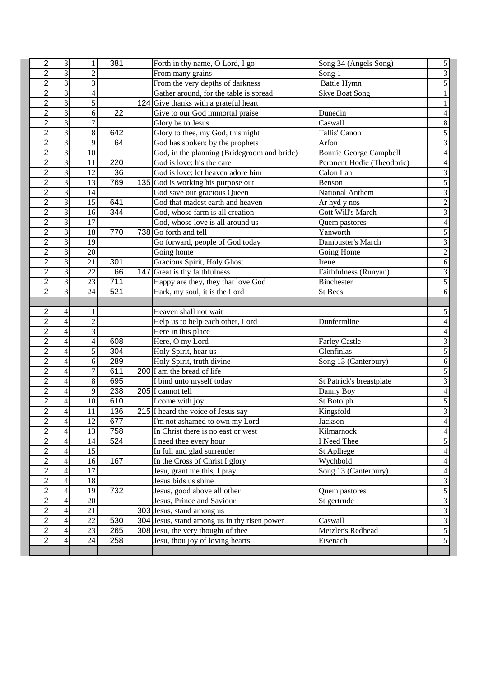| $\overline{\mathbf{c}}$ | 3                       |                 | 381                     | Forth in thy name, O Lord, I go                                                    | Song 34 (Angels Song)           | 5                                         |
|-------------------------|-------------------------|-----------------|-------------------------|------------------------------------------------------------------------------------|---------------------------------|-------------------------------------------|
| $\overline{2}$          | $\overline{\mathbf{3}}$ | 2               |                         | From many grains                                                                   | Song 1                          | $\overline{3}$                            |
| $\overline{c}$          | 3                       | 3               |                         | From the very depths of darkness                                                   | <b>Battle Hymn</b>              | 5                                         |
| $\overline{2}$          | $\overline{3}$          | 4               |                         | Gather around, for the table is spread                                             | <b>Skye Boat Song</b>           |                                           |
| $\overline{2}$          | $\overline{3}$          | 5               |                         | 124 Give thanks with a grateful heart                                              |                                 |                                           |
| $\overline{2}$          | 3                       | 6               | 22                      | Give to our God immortal praise                                                    | Dunedin                         | 4                                         |
| $\overline{2}$          | $\overline{\mathbf{3}}$ | 7               |                         | Glory be to Jesus                                                                  | Caswall                         | 8                                         |
| $\overline{2}$          | $\overline{3}$          | $\overline{8}$  | 642                     | Glory to thee, my God, this night                                                  | Tallis' Canon                   | 5                                         |
| $\overline{c}$          | $\overline{3}$          | 9               | 64                      | God has spoken: by the prophets                                                    | Arfon                           | $\overline{\mathbf{3}}$                   |
| $\overline{c}$          | 3                       | 10              |                         | God, in the planning (Bridegroom and bride)                                        | Bonnie George Campbell          | $\overline{4}$                            |
| $\overline{c}$          | 3                       | 11              | 220                     | God is love: his the care                                                          | Peronent Hodie (Theodoric)      | $\overline{4}$                            |
| $\overline{c}$          | 3                       | 12              | 36                      | God is love: let heaven adore him                                                  | Calon Lan                       | $\overline{\mathbf{3}}$                   |
| $\overline{2}$          | $\overline{\mathbf{3}}$ | 13              | 769                     | 135 God is working his purpose out                                                 | Benson                          | $\overline{5}$                            |
| $\overline{2}$          | $\overline{\mathbf{3}}$ | 14              |                         | God save our gracious Queen                                                        | National Anthem                 | $\overline{3}$                            |
| $\overline{c}$          | $\overline{\mathbf{3}}$ | 15              | 641                     | God that madest earth and heaven                                                   | Ar hyd y nos                    | $\overline{2}$                            |
| $\overline{\mathbf{c}}$ | 3                       | 16              | $\overline{344}$        | God, whose farm is all creation                                                    | Gott Will's March               | $\overline{\mathbf{3}}$                   |
| $\overline{2}$          | $\overline{\mathbf{3}}$ | $\overline{17}$ |                         | God, whose love is all around us                                                   | Quem pastores                   | $\overline{4}$                            |
| $\overline{c}$          | 3                       | 18              | 770                     | 738 Go forth and tell                                                              | Yanworth                        | 5                                         |
| $\overline{2}$          | 3                       | 19              |                         | Go forward, people of God today                                                    | Dambuster's March               | 3                                         |
| $\overline{2}$          | 3                       | 20              |                         | Going home                                                                         | Going Home                      | $\overline{2}$                            |
| $\overline{2}$          | 3                       | $\overline{21}$ | 301                     | Gracious Spirit, Holy Ghost                                                        | Irene                           | $\boldsymbol{6}$                          |
| $\overline{2}$          | 3                       | 22              | 66                      | 147 Great is thy faithfulness                                                      | Faithfulness (Runyan)           | 3                                         |
| $\overline{c}$          | 3                       | 23              | 711                     | Happy are they, they that love God                                                 | <b>Binchester</b>               | $\overline{5}$                            |
| $\overline{2}$          | 3                       | 24              | 521                     | Hark, my soul, it is the Lord                                                      | St Bees                         | 6                                         |
|                         |                         |                 |                         |                                                                                    |                                 |                                           |
| $\overline{c}$          | 4                       |                 |                         | Heaven shall not wait                                                              |                                 | 5                                         |
| $\overline{c}$          | $\overline{4}$          | $\overline{c}$  |                         | Help us to help each other, Lord                                                   | Dunfermline                     | 4                                         |
| $\overline{c}$          | 4                       | 3               |                         | Here in this place                                                                 |                                 | 4                                         |
| $\overline{2}$          | $\overline{4}$          | 4               | 608                     | Here, O my Lord                                                                    | <b>Farley Castle</b>            | $\overline{3}$                            |
| $\overline{2}$          | $\overline{4}$          | 5               | 304                     | Holy Spirit, hear us                                                               | $\overline{\text{G}}$ lenfinlas | $\overline{5}$                            |
| $\overline{2}$          | 4                       | 6               | 289                     | Holy Spirit, truth divine                                                          | Song 13 (Canterbury)            | 6                                         |
| $\overline{\mathbf{c}}$ | 4                       | 7               | 611                     | 200 I am the bread of life                                                         |                                 | 5                                         |
| $\overline{2}$          | 4                       | $8\,$           | 695                     | I bind unto myself today                                                           | St Patrick's breastplate        | $\overline{\mathbf{3}}$                   |
| $\overline{c}$          | 4                       | 9               | 238                     | 205 I cannot tell                                                                  | Danny Boy                       | $\overline{\mathcal{L}}$                  |
| $\overline{c}$          | 4                       | 10              | 610                     | I come with joy                                                                    | St Botolph                      | $\mathfrak{S}$                            |
| $\overline{2}$          | 4                       | 11              | 136                     | 215 I heard the voice of Jesus say                                                 | Kingsfold                       | $\overline{3}$                            |
| 2                       | 4                       | 12              | 677                     | I'm not ashamed to own my Lord                                                     | Jackson                         | 4                                         |
| $\overline{2}$          | 4                       | $\overline{13}$ | 758                     | In Christ there is no east or west                                                 | Kilmarnock                      | $\overline{4}$                            |
| 2                       | 4                       | 14              | $\overline{5}24$        | I need thee every hour                                                             | I Need Thee                     | $\mathfrak{S}$                            |
| $\overline{\mathbf{c}}$ | 4                       | 15              |                         | In full and glad surrender                                                         | St Aplhege                      | $\overline{4}$                            |
| $\overline{\mathbf{c}}$ | 4                       | 16              | 167                     | In the Cross of Christ I glory                                                     | Wychbold                        | $\overline{4}$                            |
| $\overline{c}$          | 4                       | 17              |                         | Jesu, grant me this, I pray                                                        | Song 13 (Canterbury)            | $\overline{4}$                            |
| $\overline{\mathbf{c}}$ | 4                       | 18              |                         | Jesus bids us shine                                                                |                                 | $\overline{3}$                            |
| $\overline{c}$          | 4                       | 19              | 732                     | Jesus, good above all other                                                        | Quem pastores                   | $\overline{\mathbf{5}}$<br>$\overline{3}$ |
| 2<br>$\overline{2}$     | 4                       | 20<br>21        |                         | Jesus, Prince and Saviour                                                          | St gertrude                     | $\overline{3}$                            |
| $\overline{2}$          | 4                       | 22              |                         | 303 Jesus, stand among us                                                          |                                 |                                           |
| 2                       | 4<br>4                  | 23              | 530<br>$\overline{2}65$ | 304 Jesus, stand among us in thy risen power<br>308 Jesu, the very thought of thee | Caswall<br>Metzler's Redhead    |                                           |
| $\overline{\mathbf{c}}$ | 4                       | 24              | 258                     | Jesu, thou joy of loving hearts                                                    | Eisenach                        | $\frac{3}{5}$                             |
|                         |                         |                 |                         |                                                                                    |                                 |                                           |
|                         |                         |                 |                         |                                                                                    |                                 |                                           |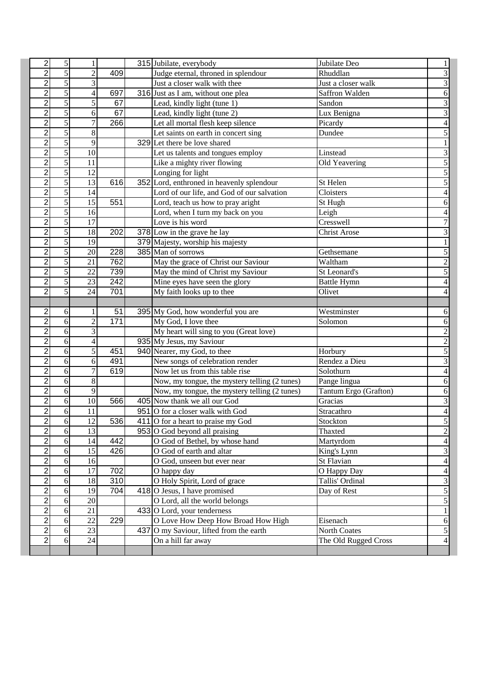| $\overline{\mathbf{c}}$          | 5                   |                 |                         | 315 Jubilate, everybody                                      | Jubilate Deo          |                                  |
|----------------------------------|---------------------|-----------------|-------------------------|--------------------------------------------------------------|-----------------------|----------------------------------|
| $\overline{2}$                   | $\overline{5}$      | $\overline{2}$  | 409                     | Judge eternal, throned in splendour                          | Rhuddlan              | $\overline{3}$                   |
| $\overline{2}$                   | $\overline{5}$      | 3               |                         | Just a closer walk with thee                                 | Just a closer walk    | 3                                |
| $\overline{2}$                   | 5                   | 4               | 697                     | 316 Just as I am, without one plea                           | Saffron Walden        | $\boldsymbol{6}$                 |
| $\overline{2}$                   | 5                   | 5               | 67                      | Lead, kindly light (tune 1)                                  | Sandon                | $\overline{3}$                   |
| $\overline{2}$                   | 5                   | 6               | 67                      | Lead, kindly light (tune 2)                                  | Lux Benigna           | $\overline{3}$                   |
| $\overline{2}$                   | 5                   | 7               | 266                     | Let all mortal flesh keep silence                            | Picardy               | $\overline{4}$                   |
| $\overline{c}$                   | 5                   | 8               |                         | Let saints on earth in concert sing                          | Dundee                | 5                                |
| $\overline{2}$                   | 5                   | 9               |                         | 329 Let there be love shared                                 |                       |                                  |
| $\overline{2}$                   | 5                   | $\overline{10}$ |                         | Let us talents and tongues employ                            | Linstead              | $\overline{3}$                   |
| $\overline{2}$                   | $\overline{5}$      | 11              |                         | Like a mighty river flowing                                  | Old Yeavering         | $\overline{5}$                   |
| $\overline{2}$                   | $\overline{5}$      | 12              |                         | Longing for light                                            |                       | 5                                |
| $\overline{c}$                   | $\overline{5}$      | 13              | 616                     | 352 Lord, enthroned in heavenly splendour                    | St Helen              | 5                                |
| $\overline{2}$                   | $\overline{5}$      | 14              |                         | Lord of our life, and God of our salvation                   | Cloisters             | $\overline{4}$                   |
| $\overline{2}$                   | 5                   | $\overline{15}$ | 551                     | Lord, teach us how to pray aright                            | St Hugh               | 6                                |
| $\overline{c}$                   | 5                   | 16              |                         | Lord, when I turn my back on you                             | Leigh                 |                                  |
| $\overline{2}$                   | 5                   | 17              |                         | Love is his word                                             | Cresswell             | $\overline{7}$                   |
| $\overline{2}$                   | 5                   | 18              | 202                     | 378 Low in the grave he lay                                  | <b>Christ Arose</b>   | 3                                |
| $\overline{2}$                   | $\overline{5}$      | 19              |                         | 379 Majesty, worship his majesty                             |                       |                                  |
| $\overline{2}$                   | 5                   | $\overline{20}$ | 228                     | 385 Man of sorrows                                           | Gethsemane            | 5                                |
| $\overline{2}$                   | 5                   | 21              | 762                     | May the grace of Christ our Saviour                          | Waltham               | $\overline{c}$                   |
| $\overline{\mathbf{c}}$          | 5                   | 22              | 739                     | May the mind of Christ my Saviour                            | St Leonard's          | 5                                |
| $\overline{2}$                   | 5                   | 23              | $\frac{1}{242}$         | Mine eyes have seen the glory                                | <b>Battle Hymn</b>    | $\overline{4}$                   |
| $\overline{2}$                   | 5                   | 24              | 701                     | My faith looks up to thee                                    | Olivet                | 4                                |
|                                  |                     |                 |                         |                                                              |                       |                                  |
| 2                                | 6                   |                 | 51                      | 395 My God, how wonderful you are                            | Westminster           | 6                                |
| $\overline{2}$                   | 6                   | $\overline{2}$  | 171                     | My God, I love thee                                          | Solomon               | $\mathbf{6}$                     |
| $\overline{2}$                   | 6                   | 3               |                         | My heart will sing to you (Great love)                       |                       | $\overline{c}$                   |
| $\overline{2}$                   | 6                   | 4               |                         | 935 My Jesus, my Saviour                                     |                       | $\overline{2}$                   |
| $\overline{\mathbf{c}}$          | 6                   | 5               | 451                     | 940 Nearer, my God, to thee                                  | Horbury               | 5                                |
| $\overline{2}$                   | 6                   | 6               | 491                     | New songs of celebration render                              | Rendez a Dieu         | $\overline{3}$                   |
| $\overline{c}$                   | 6                   | 7               | 619                     | Now let us from this table rise                              | Solothurn             | $\overline{\mathcal{L}}$         |
| $\overline{2}$                   | 6                   | 8               |                         | Now, my tongue, the mystery telling (2 tunes)                | Pange lingua          | $\boldsymbol{6}$                 |
| $\overline{\mathbf{c}}$          | 6                   | $\mathbf{9}$    |                         | Now, my tongue, the mystery telling (2 tunes)                | Tantum Ergo (Grafton) | $\boldsymbol{6}$                 |
| $\overline{2}$                   | 6                   | 10              | 566                     | 405 Now thank we all our God                                 | Gracias               | $\overline{\mathbf{3}}$          |
| $\overline{2}$                   | 6                   | 11              |                         | 951 O for a closer walk with God                             | Stracathro            | $\overline{4}$                   |
| 2                                | 6                   | 12              | 536                     | 411 O for a heart to praise my God                           | Stockton              | $rac{5}{2}$                      |
| $\overline{2}$                   | 6                   | 13              |                         | 953 O God beyond all praising                                | Thaxted               |                                  |
| $\overline{c}$                   | $6 \mid$            | 14              | 442                     | O God of Bethel, by whose hand                               | Martyrdom             | $\overline{4}$                   |
| $\overline{c}$                   | $6 \mid$            | 15              | 426                     | O God of earth and altar                                     | King's Lynn           | $\overline{3}$                   |
| $\overline{c}$                   | 6                   | 16              |                         | O God, unseen but ever near                                  | St Flavian            | $\overline{4}$                   |
| $\overline{c}$                   | $6 \overline{6}$    | 17              | 702                     | O happy day                                                  | O Happy Day           | $\overline{4}$                   |
| $\overline{2}$<br>$\overline{2}$ | $\overline{6}$      | 18              | 310<br>$\overline{7}04$ | O Holy Spirit, Lord of grace                                 | Tallis' Ordinal       | $\overline{3}$<br>$\overline{5}$ |
| $\overline{2}$                   | 6                   | 19<br>20        |                         | $418$ O Jesus, I have promised                               | Day of Rest           | 5                                |
| 2                                | 6                   | 21              |                         | O Lord, all the world belongs<br>433 O Lord, your tenderness |                       | $\,1$                            |
| $\overline{\mathbf{c}}$          | 6 <sup>1</sup><br>6 | 22              | 229                     | O Love How Deep How Broad How High                           | Eisenach              | $\sqrt{6}$                       |
| $\overline{2}$                   | 6                   | $\overline{23}$ |                         | 437 O my Saviour, lifted from the earth                      | North Coates          | $\overline{5}$                   |
| $\overline{\mathbf{c}}$          | 6                   | 24              |                         | On a hill far away                                           | The Old Rugged Cross  | $\overline{\mathbf{r}}$          |
|                                  |                     |                 |                         |                                                              |                       |                                  |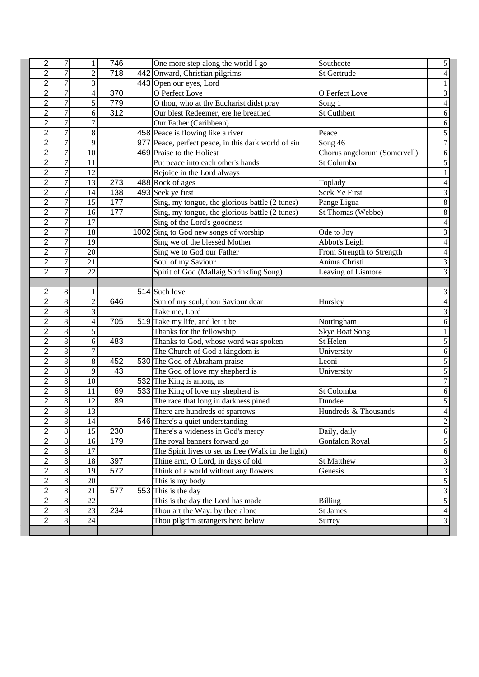| $\overline{c}$          | 7              |                 | 746              | One more step along the world I go                  | Southcote                    | 5                       |
|-------------------------|----------------|-----------------|------------------|-----------------------------------------------------|------------------------------|-------------------------|
| $\overline{c}$          | $\overline{7}$ | $\overline{c}$  | 718              | 442 Onward, Christian pilgrims                      | St Gertrude                  |                         |
| $\overline{2}$          | $\overline{7}$ | 3               |                  | 443 Open our eyes, Lord                             |                              |                         |
| $\overline{2}$          | 7              | 4               | 370              | O Perfect Love                                      | O Perfect Love               | 3                       |
| $\overline{2}$          | 7              | 5               | 779              | O thou, who at thy Eucharist didst pray             | Song 1                       | 4                       |
| $\overline{2}$          | 7              | 6               | $\overline{312}$ | Our blest Redeemer, ere he breathed                 | <b>St Cuthbert</b>           | 6                       |
| $\overline{2}$          | 7              | 7               |                  | Our Father (Caribbean)                              |                              | $\mathbf{6}$            |
| $\overline{c}$          | 7              | 8               |                  | 458 Peace is flowing like a river                   | Peace                        | 5                       |
| $\overline{c}$          | 7              | 9               |                  | 977 Peace, perfect peace, in this dark world of sin | $\overline{\text{Song}}$ 46  | $\overline{7}$          |
| $\overline{c}$          | $\overline{7}$ | 10              |                  | 469 Praise to the Holiest                           | Chorus angelorum (Somervell) | 6                       |
| $\overline{c}$          | $\overline{7}$ | 11              |                  | Put peace into each other's hands                   | St Columba                   | $\overline{5}$          |
| $\overline{2}$          | $\overline{7}$ | 12              |                  | Rejoice in the Lord always                          |                              |                         |
| $\overline{2}$          | $\overline{7}$ | 13              | 273              | 488 Rock of ages                                    | Toplady                      | $\overline{4}$          |
| $\overline{c}$          | $\overline{7}$ | 14              | 138              | 493 Seek ye first                                   | Seek Ye First                | 3                       |
| $\overline{\mathbf{c}}$ | 7              | 15              | 177              | Sing, my tongue, the glorious battle (2 tunes)      | Pange Ligua                  | 8                       |
| $\overline{2}$          | 7              | 16              | 177              | Sing, my tongue, the glorious battle (2 tunes)      | St Thomas (Webbe)            | 8                       |
| $\overline{c}$          | $\overline{7}$ | 17              |                  | Sing of the Lord's goodness                         |                              | 4                       |
| $\overline{c}$          | 7              | 18              |                  | 1002 Sing to God new songs of worship               | Ode to Joy                   | 3                       |
| $\overline{2}$          | 7              | 19              |                  | Sing we of the blessèd Mother                       | Abbot's Leigh                | $\overline{4}$          |
| $\overline{2}$          | 7              | 20              |                  | Sing we to God our Father                           | From Strength to Strength    | $\overline{4}$          |
| $\overline{2}$          | 7              | $\overline{21}$ |                  | Soul of my Saviour                                  | Anima Christi                | $\overline{3}$          |
| $\overline{2}$          | 7              | 22              |                  | Spirit of God (Mallaig Sprinkling Song)             | Leaving of Lismore           | 3                       |
|                         |                |                 |                  |                                                     |                              |                         |
| $\overline{c}$          | 8              |                 |                  | 514 Such love                                       |                              | 3                       |
| $\overline{c}$          | 8              | $\overline{c}$  | 646              | Sun of my soul, thou Saviour dear                   | Hursley                      | 4                       |
| $\overline{c}$          | 8              | 3               |                  | Take me, Lord                                       |                              | 3                       |
| $\overline{c}$          | 8              | 4               | 705              | 519 Take my life, and let it be                     | Nottingham                   | $\mathbf{6}$            |
| $\overline{2}$          | $\overline{8}$ | 5               |                  | Thanks for the fellowship                           | <b>Skye Boat Song</b>        |                         |
| $\overline{2}$          | 8              | 6               | 483              | Thanks to God, whose word was spoken                | $\overline{St}$ Helen        | 5                       |
| $\overline{2}$          | 8              | 7               |                  | The Church of God a kingdom is                      | University                   | 6                       |
| $\overline{\mathbf{c}}$ | 8              | $8\,$           | 452              | 530 The God of Abraham praise                       | Leoni                        | 5                       |
| $\overline{2}$          | $\overline{8}$ | 9               | 43               | The God of love my shepherd is                      | University                   | $\overline{5}$          |
| $\overline{c}$          | $8\,$          | 10              |                  | 532 The King is among us                            |                              | $\overline{7}$          |
| $\overline{c}$          | $8\,$          | 11              | 69               | 533 The King of love my shepherd is                 | St Colomba                   | 6                       |
| $\overline{c}$          | 8              | 12              | 89               | The race that long in darkness pined                | Dundee                       | 5                       |
| $\overline{2}$          | $\overline{8}$ | 13              |                  | There are hundreds of sparrows                      | Hundreds & Thousands         | $\overline{4}$          |
| 2                       | 8              | <sup>14</sup>   |                  | 546 There's a quiet understanding                   |                              |                         |
| $\overline{2}$          | 8              | $\overline{15}$ | 230              | There's a wideness in God's mercy                   | Daily, daily                 | $\frac{2}{6}$           |
| 2                       | 8              | 16              | 179              | The royal banners forward go                        | <b>Gonfalon Royal</b>        | $\overline{5}$          |
| $\overline{c}$          | $\overline{8}$ | 17              |                  | The Spirit lives to set us free (Walk in the light) |                              | $\sqrt{6}$              |
| $\overline{c}$          | $8\,$          | 18              | 397              | Thine arm, O Lord, in days of old                   | St Matthew                   | $\overline{\mathbf{3}}$ |
| $\overline{c}$          | $8\,$          | 19              | 572              | Think of a world without any flowers                | Genesis                      | $\overline{\mathbf{3}}$ |
| 2                       | $8\,$          | 20              |                  | This is my body                                     |                              | $rac{5}{3}$             |
| 2                       | 8              | 21              | 577              | 553 This is the day                                 |                              |                         |
| $\overline{2}$          | $8\,$          | 22              |                  | This is the day the Lord has made                   | <b>Billing</b>               | $\overline{5}$          |
| $\overline{2}$          | 8              | 23              | 234              | Thou art the Way: by thee alone                     | St James                     | $\overline{4}$          |
| 2                       | 8              | 24              |                  | Thou pilgrim strangers here below                   | Surrey                       | $\overline{3}$          |
|                         |                |                 |                  |                                                     |                              |                         |